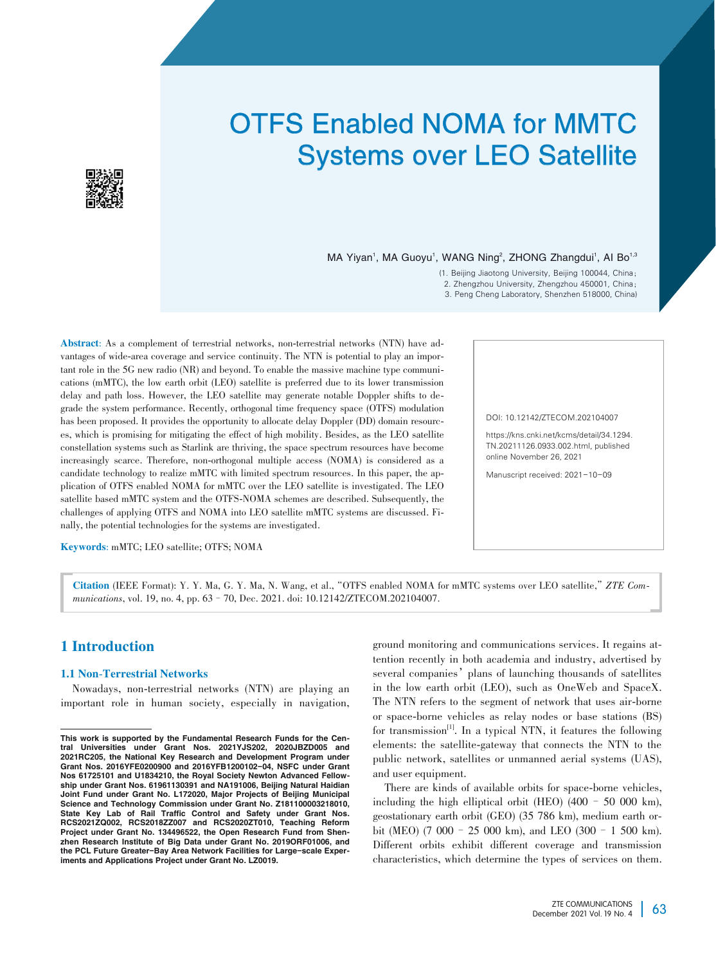# OTFS Enabled NOMA for MMTC Systems over LEO Satellite



MA Yiyan<sup>1</sup>, MA Guoyu<sup>1</sup>, WANG Ning<sup>2</sup>, ZHONG Zhangdui<sup>1</sup>, AI Bo<sup>1,3</sup>

(1. Beijing Jiaotong University, Beijing 100044, China; 2. Zhengzhou University, Zhengzhou 450001, China;

3. Peng Cheng Laboratory, Shenzhen 518000, China)

Abstract: As a complement of terrestrial networks, non-terrestrial networks (NTN) have advantages of wide-area coverage and service continuity. The NTN is potential to play an important role in the  $5G$  new radio  $(NR)$  and beyond. To enable the massive machine type communications (mMTC), the low earth orbit (LEO) satellite is preferred due to its lower transmission delay and path loss. However, the LEO satellite may generate notable Doppler shifts to degrade the system performance. Recently, orthogonal time frequency space (OTFS) modulation has been proposed. It provides the opportunity to allocate delay Doppler (DD) domain resourc es, which is promising for mitigating the effect of high mobility. Besides, as the LEO satellite constellation systems such as Starlink are thriving, the space spectrum resources have become increasingly scarce. Therefore, non-orthogonal multiple access (NOMA) is considered as a candidate technology to realize mMTC with limited spectrum resources. In this paper, the application of OTFS enabled NOMA for mMTC over the LEO satellite is investigated. The LEO satellite based mMTC system and the OTFS-NOMA schemes are described. Subsequently, the challenges of applying OTFS and NOMA into LEO satellite mMTC systems are discussed. Finally, the potential technologies for the systems are investigated.

Keywords: mMTC; LEO satellite; OTFS; NOMA

DOI: 10.12142/ZTECOM.202104007

https://kns.cnki.net/kcms/detail/34.1294. TN.20211126.0933.002.html, published online November 26, 2021

Manuscript received: 2021-10-09

Citation (IEEE Format): Y. Y. Ma, G. Y. Ma, N. Wang, et al.,"OTFS enabled NOMA for mMTC systems over LEO satellite,"*ZTE Com⁃ munications*, vol. 19, no. 4, pp. 63–70, Dec. 2021. doi: 10.12142/ZTECOM.202104007.

# 1 Introduction

#### 1.1 Non-Terrestrial Networks

Nowadays, non-terrestrial networks (NTN) are playing an important role in human society, especially in navigation, ground monitoring and communications services. It regains attention recently in both academia and industry, advertised by several companies' plans of launching thousands of satellites in the low earth orbit (LEO), such as OneWeb and SpaceX. The NTN refers to the segment of network that uses air-borne or space-borne vehicles as relay nodes or base stations (BS) for transmission<sup>[1]</sup>. In a typical NTN, it features the following elements: the satellite-gateway that connects the NTN to the public network, satellites or unmanned aerial systems (UAS), and user equipment.

There are kinds of available orbits for space-borne vehicles, including the high elliptical orbit (HEO) (400 – 50 000 km), geostationary earth orbit (GEO) (35 786 km), medium earth orbit (MEO) (7 000–25 000 km), and LEO (300–1 500 km). Different orbits exhibit different coverage and transmission characteristics, which determine the types of services on them.

This work is supported by the Fundamental Research Funds for the Central Universities under Grant Nos. 2021YJS202, 2020JBZD005 and 2021RC205, the National Key Research and Development Program under Grant Nos. 2016YFE0200900 and 2016YFB1200102-04, NSFC under Grant Nos 61725101 and U1834210, the Royal Society Newton Advanced Fellowship under Grant Nos. 61961130391 and NA191006, Beijing Natural Haidian Joint Fund under Grant No. L172020, Major Projects of Beijing Municipal Science and Technology Commission under Grant No. Z181100003218010, State Key Lab of Rail Traffic Control and Safety under Grant Nos. RCS2021ZQ002, RCS2018ZZ007 and RCS2020ZT010, Teaching Reform Project under Grant No. 134496522, the Open Research Fund from Shenzhen Research Institute of Big Data under Grant No. 2019ORF01006, and the PCL Future Greater-Bay Area Network Facilities for Large-scale Experiments and Applications Project under Grant No. LZ0019.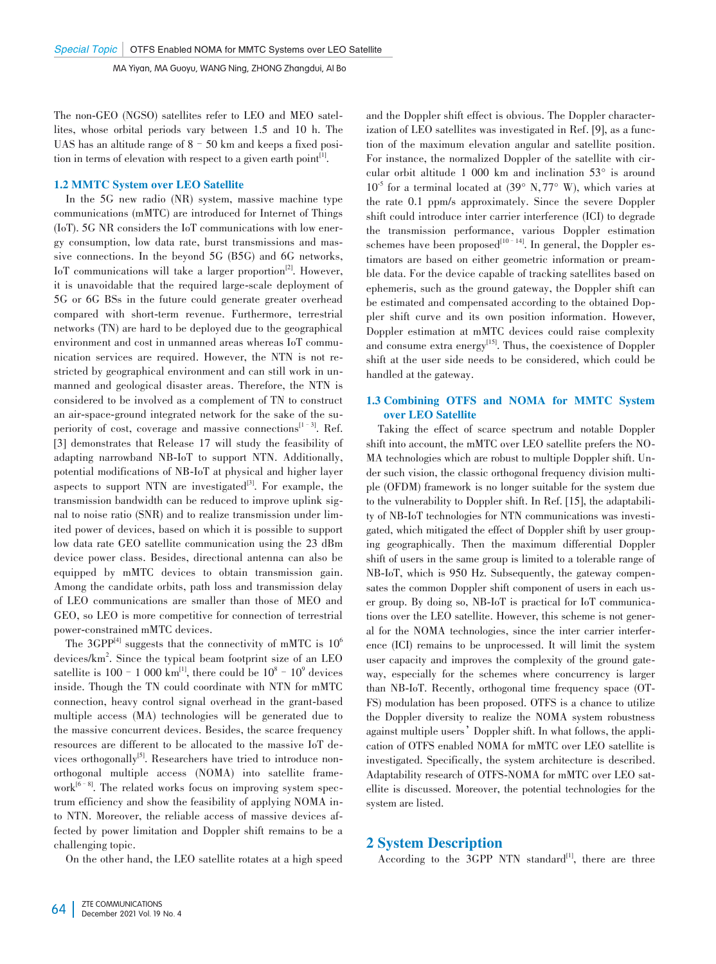The non-GEO (NGSO) satellites refer to LEO and MEO satellites, whose orbital periods vary between 1.5 and 10 h. The UAS has an altitude range of  $8-50$  km and keeps a fixed position in terms of elevation with respect to a given earth point $\mathbf{I}^{[1]}$ .

#### 1.2 MMTC System over LEO Satellite

In the 5G new radio (NR) system, massive machine type communications (mMTC) are introduced for Internet of Things (IoT). 5G NR considers the IoT communications with low energy consumption, low data rate, burst transmissions and massive connections. In the beyond 5G (B5G) and 6G networks, IoT communications will take a larger proportion<sup>[2]</sup>. However, it is unavoidable that the required large-scale deployment of 5G or 6G BSs in the future could generate greater overhead compared with short-term revenue. Furthermore, terrestrial networks (TN) are hard to be deployed due to the geographical environment and cost in unmanned areas whereas IoT communication services are required. However, the NTN is not restricted by geographical environment and can still work in unmanned and geological disaster areas. Therefore, the NTN is considered to be involved as a complement of TN to construct an air-space-ground integrated network for the sake of the superiority of cost, coverage and massive connections<sup>[1-3]</sup>. Ref. [3] demonstrates that Release 17 will study the feasibility of adapting narrowband NB-IoT to support NTN. Additionally, potential modifications of NB-IoT at physical and higher layer aspects to support NTN are investigated $\mathbf{d}^{[3]}$ . For example, the transmission bandwidth can be reduced to improve uplink signal to noise ratio (SNR) and to realize transmission under limited power of devices, based on which it is possible to support low data rate GEO satellite communication using the 23 dBm device power class. Besides, directional antenna can also be equipped by mMTC devices to obtain transmission gain. Among the candidate orbits, path loss and transmission delay of LEO communications are smaller than those of MEO and GEO, so LEO is more competitive for connection of terrestrial power-constrained mMTC devices.

The 3GPP<sup>[4]</sup> suggests that the connectivity of mMTC is  $10^6$ devices/km<sup>2</sup> . Since the typical beam footprint size of an LEO satellite is  $100 - 1000 \text{ km}^{\text{H}}$ , there could be  $10^8 - 10^9$  devices inside. Though the TN could coordinate with NTN for mMTC connection, heavy control signal overhead in the grant-based multiple access (MA) technologies will be generated due to the massive concurrent devices. Besides, the scarce frequency resources are different to be allocated to the massive IoT de⁃ vices orthogonally<sup>[5]</sup>. Researchers have tried to introduce nonorthogonal multiple access (NOMA) into satellite framework<sup>[6–8]</sup>. The related works focus on improving system spectrum efficiency and show the feasibility of applying NOMA into NTN. Moreover, the reliable access of massive devices affected by power limitation and Doppler shift remains to be a challenging topic.

On the other hand, the LEO satellite rotates at a high speed

and the Doppler shift effect is obvious. The Doppler characterization of LEO satellites was investigated in Ref. [9], as a function of the maximum elevation angular and satellite position. For instance, the normalized Doppler of the satellite with circular orbit altitude 1 000 km and inclination 53° is around  $10^{-5}$  for a terminal located at  $(39^{\circ} \text{ N}, 77^{\circ} \text{ W})$ , which varies at the rate 0.1 ppm/s approximately. Since the severe Doppler shift could introduce inter carrier interference (ICI) to degrade the transmission performance, various Doppler estimation schemes have been proposed<sup>[10–14]</sup>. In general, the Doppler estimators are based on either geometric information or preamble data. For the device capable of tracking satellites based on ephemeris, such as the ground gateway, the Doppler shift can be estimated and compensated according to the obtained Doppler shift curve and its own position information. However, Doppler estimation at mMTC devices could raise complexity and consume extra energy<sup>[15]</sup>. Thus, the coexistence of Doppler shift at the user side needs to be considered, which could be handled at the gateway.

## 1.3 Combining OTFS and NOMA for MMTC System over LEO Satellite

Taking the effect of scarce spectrum and notable Doppler shift into account, the mMTC over LEO satellite prefers the NO-MA technologies which are robust to multiple Doppler shift. Under such vision, the classic orthogonal frequency division multiple (OFDM) framework is no longer suitable for the system due to the vulnerability to Doppler shift. In Ref. [15], the adaptability of NB-IoT technologies for NTN communications was investigated, which mitigated the effect of Doppler shift by user grouping geographically. Then the maximum differential Doppler shift of users in the same group is limited to a tolerable range of NB-IoT, which is 950 Hz. Subsequently, the gateway compensates the common Doppler shift component of users in each user group. By doing so, NB-IoT is practical for IoT communications over the LEO satellite. However, this scheme is not general for the NOMA technologies, since the inter carrier interference (ICI) remains to be unprocessed. It will limit the system user capacity and improves the complexity of the ground gateway, especially for the schemes where concurrency is larger than NB-IoT. Recently, orthogonal time frequency space (OT-FS) modulation has been proposed. OTFS is a chance to utilize the Doppler diversity to realize the NOMA system robustness against multiple users' Doppler shift. In what follows, the application of OTFS enabled NOMA for mMTC over LEO satellite is investigated. Specifically, the system architecture is described. Adaptability research of OTFS-NOMA for mMTC over LEO satellite is discussed. Moreover, the potential technologies for the system are listed.

# 2 System Description

According to the  $3GPP$  NTN standard<sup>[1]</sup>, there are three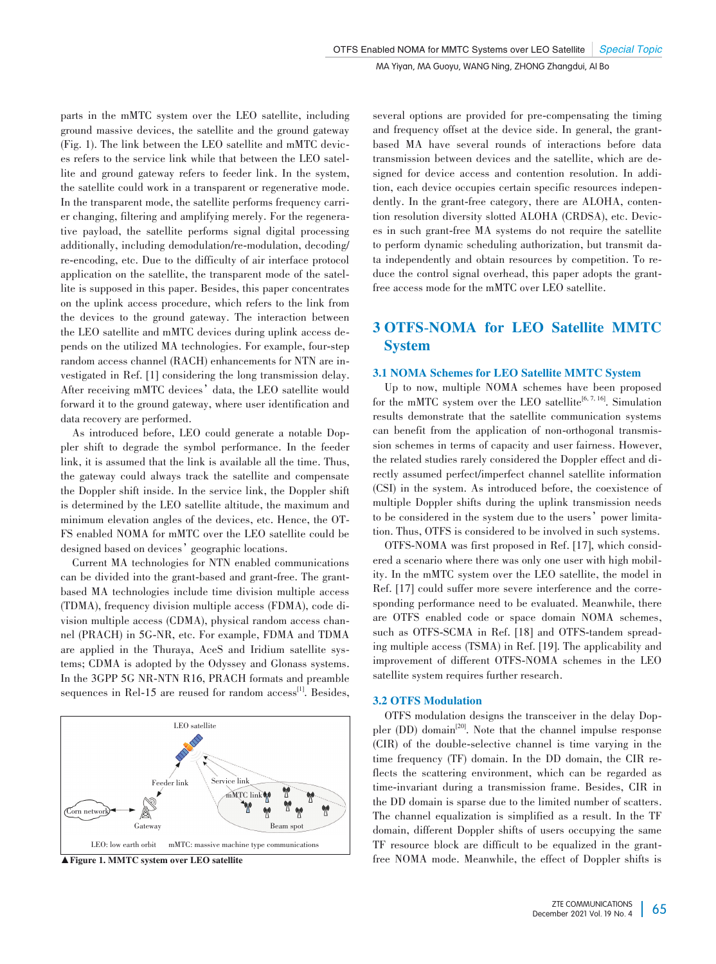parts in the mMTC system over the LEO satellite, including ground massive devices, the satellite and the ground gateway (Fig. 1). The link between the LEO satellite and mMTC devices refers to the service link while that between the LEO satellite and ground gateway refers to feeder link. In the system, the satellite could work in a transparent or regenerative mode. In the transparent mode, the satellite performs frequency carri er changing, filtering and amplifying merely. For the regenerative payload, the satellite performs signal digital processing additionally, including demodulation/re-modulation, decoding/ re-encoding, etc. Due to the difficulty of air interface protocol application on the satellite, the transparent mode of the satel lite is supposed in this paper. Besides, this paper concentrates on the uplink access procedure, which refers to the link from the devices to the ground gateway. The interaction between the LEO satellite and mMTC devices during uplink access depends on the utilized MA technologies. For example, four-step random access channel (RACH) enhancements for NTN are investigated in Ref. [1] considering the long transmission delay. After receiving mMTC devices' data, the LEO satellite would forward it to the ground gateway, where user identification and data recovery are performed.

As introduced before, LEO could generate a notable Doppler shift to degrade the symbol performance. In the feeder link, it is assumed that the link is available all the time. Thus, the gateway could always track the satellite and compensate the Doppler shift inside. In the service link, the Doppler shift is determined by the LEO satellite altitude, the maximum and minimum elevation angles of the devices, etc. Hence, the OT-FS enabled NOMA for mMTC over the LEO satellite could be designed based on devices' geographic locations.

Current MA technologies for NTN enabled communications can be divided into the grant-based and grant-free. The grantbased MA technologies include time division multiple access (TDMA), frequency division multiple access (FDMA), code di⁃ vision multiple access (CDMA), physical random access channel (PRACH) in 5G-NR, etc. For example, FDMA and TDMA are applied in the Thuraya, AceS and Iridium satellite systems; CDMA is adopted by the Odyssey and Glonass systems. In the 3GPP 5G NR-NTN R16, PRACH formats and preamble sequences in Rel-15 are reused for random access<sup>[1]</sup>. Besides,



▲ Figure 1. MMTC system over LEO satellite

several options are provided for pre-compensating the timing and frequency offset at the device side. In general, the grantbased MA have several rounds of interactions before data transmission between devices and the satellite, which are de⁃ signed for device access and contention resolution. In addition, each device occupies certain specific resources independently. In the grant-free category, there are ALOHA, contention resolution diversity slotted ALOHA (CRDSA), etc. Devices in such grant-free MA systems do not require the satellite to perform dynamic scheduling authorization, but transmit data independently and obtain resources by competition. To reduce the control signal overhead, this paper adopts the grantfree access mode for the mMTC over LEO satellite.

# 3 OTFS-NOMA for LEO Satellite MMTC System

## 3.1 NOMA Schemes for LEO Satellite MMTC System

Up to now, multiple NOMA schemes have been proposed for the mMTC system over the LEO satellite<sup>[6, 7, 16]</sup>. Simulation results demonstrate that the satellite communication systems can benefit from the application of non-orthogonal transmission schemes in terms of capacity and user fairness. However, the related studies rarely considered the Doppler effect and directly assumed perfect/imperfect channel satellite information (CSI) in the system. As introduced before, the coexistence of multiple Doppler shifts during the uplink transmission needs to be considered in the system due to the users' power limitation. Thus, OTFS is considered to be involved in such systems.

OTFS-NOMA was first proposed in Ref. [17], which considered a scenario where there was only one user with high mobility. In the mMTC system over the LEO satellite, the model in Ref. [17] could suffer more severe interference and the corresponding performance need to be evaluated. Meanwhile, there are OTFS enabled code or space domain NOMA schemes, such as OTFS-SCMA in Ref. [18] and OTFS-tandem spreading multiple access (TSMA) in Ref. [19]. The applicability and improvement of different OTFS-NOMA schemes in the LEO satellite system requires further research.

#### 3.2 OTFS Modulation

OTFS modulation designs the transceiver in the delay Doppler  $(DD)$  domain<sup>[20]</sup>. Note that the channel impulse response (CIR) of the double-selective channel is time varying in the time frequency (TF) domain. In the DD domain, the CIR reflects the scattering environment, which can be regarded as time-invariant during a transmission frame. Besides, CIR in the DD domain is sparse due to the limited number of scatters. The channel equalization is simplified as a result. In the TF domain, different Doppler shifts of users occupying the same TF resource block are difficult to be equalized in the grantfree NOMA mode. Meanwhile, the effect of Doppler shifts is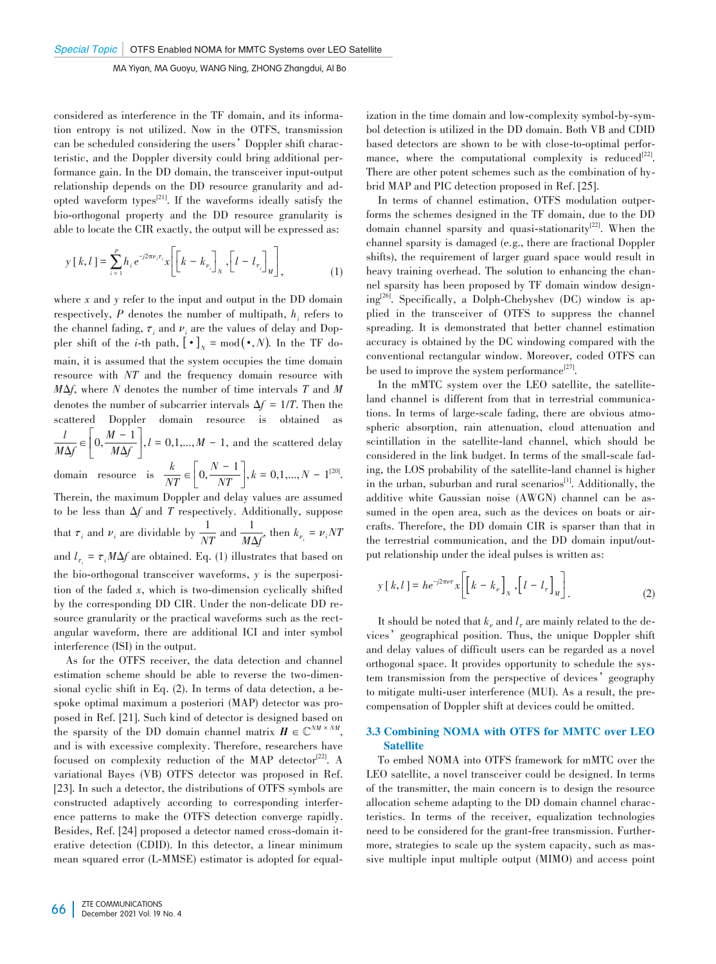considered as interference in the TF domain, and its information entropy is not utilized. Now in the OTFS, transmission can be scheduled considering the users' Doppler shift characteristic, and the Doppler diversity could bring additional performance gain. In the DD domain, the transceiver input-output relationship depends on the DD resource granularity and adopted waveform types $^{[21]}$ . If the waveforms ideally satisfy the bio-orthogonal property and the DD resource granularity is able to locate the CIR exactly, the output will be expressed as:

$$
y[k,l] = \sum_{i=1}^{P} h_i e^{-j2\pi \nu_i \tau_i} x \left[ \left[ k - k_{\nu_i} \right]_N, \left[ l - l_{\tau_i} \right]_M \right],
$$
 (1)

where *x* and *y* refer to the input and output in the DD domain respectively, P denotes the number of multipath,  $h_i$  refers to the channel fading,  $\tau_i$  and  $\nu_i$  are the values of delay and Doppler shift of the *i*-th path,  $[\cdot]_N = \text{mod}(\cdot, N)$ . In the TF domain, it is assumed that the system occupies the time domain resource with *NT* and the frequency domain resource with *M*Δ*f*, where *N* denotes the number of time intervals *T* and *M* denotes the number of subcarrier intervals  $\Delta f = 1/T$ . Then the scattered Doppler domain resource is obtained as *l*  $\frac{l}{M\Delta f} \in \left[0, \frac{M-1}{M\Delta f}\right]$ *M*Δ*f* ù  $\left| \int_{0}^{R} k = 0, 1, \ldots, M - 1$ , and the scattered delay domain resource is  $\frac{k}{NT} \in \left[0, \frac{N-1}{NT}\right]$ *NT* ù  $\int$ ,  $k = 0, 1, ..., N - 1^{[20]}$ . Therein, the maximum Doppler and delay values are assumed to be less than Δ*f* and *T* respectively. Additionally, suppose that  $\tau_i$  and  $\nu_i$  are dividable by  $\frac{1}{NT}$  and  $\frac{1}{M\Delta f}$ , then  $k_{\nu_i} = \nu_i NT$ and  $l_{\tau_i} = \tau_i M \Delta f$  are obtained. Eq. (1) illustrates that based on

the bio-orthogonal transceiver waveforms,  $\gamma$  is the superposition of the faded *x*, which is two-dimension cyclically shifted by the corresponding DD CIR. Under the non-delicate DD resource granularity or the practical waveforms such as the rectangular waveform, there are additional ICI and inter symbol interference (ISI) in the output.

As for the OTFS receiver, the data detection and channel estimation scheme should be able to reverse the two-dimensional cyclic shift in Eq. (2). In terms of data detection, a bespoke optimal maximum a posteriori (MAP) detector was proposed in Ref. [21]. Such kind of detector is designed based on the sparsity of the DD domain channel matrix  $H \in \mathbb{C}^{NM \times NM}$ , and is with excessive complexity. Therefore, researchers have focused on complexity reduction of the MAP detector<sup>[22]</sup>. A variational Bayes (VB) OTFS detector was proposed in Ref. [23]. In such a detector, the distributions of OTFS symbols are constructed adaptively according to corresponding interference patterns to make the OTFS detection converge rapidly. Besides, Ref. [24] proposed a detector named cross-domain iterative detection (CDID). In this detector, a linear minimum mean squared error (L-MMSE) estimator is adopted for equal-

ization in the time domain and low-complexity symbol-by-symbol detection is utilized in the DD domain. Both VB and CDID based detectors are shown to be with close-to-optimal performance, where the computational complexity is reduced $[22]$ . There are other potent schemes such as the combination of hybrid MAP and PIC detection proposed in Ref. [25].

In terms of channel estimation, OTFS modulation outperforms the schemes designed in the TF domain, due to the DD domain channel sparsity and quasi-stationarity<sup>[22]</sup>. When the channel sparsity is damaged (e.g., there are fractional Doppler shifts), the requirement of larger guard space would result in heavy training overhead. The solution to enhancing the channel sparsity has been proposed by TF domain window designing<sup>[26]</sup>. Specifically, a Dolph-Chebyshev (DC) window is applied in the transceiver of OTFS to suppress the channel spreading. It is demonstrated that better channel estimation accuracy is obtained by the DC windowing compared with the conventional rectangular window. Moreover, coded OTFS can be used to improve the system performance<sup>[27]</sup>.

In the mMTC system over the LEO satellite, the satelliteland channel is different from that in terrestrial communications. In terms of large-scale fading, there are obvious atmospheric absorption, rain attenuation, cloud attenuation and scintillation in the satellite-land channel, which should be considered in the link budget. In terms of the small-scale fading, the LOS probability of the satellite-land channel is higher in the urban, suburban and rural scenarios<sup>[1]</sup>. Additionally, the additive white Gaussian noise (AWGN) channel can be assumed in the open area, such as the devices on boats or aircrafts. Therefore, the DD domain CIR is sparser than that in the terrestrial communication, and the DD domain input/output relationship under the ideal pulses is written as:

$$
y[k,l] = he^{-j2\pi\nu\tau}x \left[ \left[ k - k_{\nu} \right]_{N}, \left[ l - l_{\tau} \right]_{M} \right].
$$
 (2)

It should be noted that  $k_v$  and  $l_z$  are mainly related to the devices'geographical position. Thus, the unique Doppler shift and delay values of difficult users can be regarded as a novel orthogonal space. It provides opportunity to schedule the system transmission from the perspective of devices'geography to mitigate multi-user interference (MUI). As a result, the precompensation of Doppler shift at devices could be omitted.

#### 3.3 Combining NOMA with OTFS for MMTC over LEO **Satellite**

To embed NOMA into OTFS framework for mMTC over the LEO satellite, a novel transceiver could be designed. In terms of the transmitter, the main concern is to design the resource allocation scheme adapting to the DD domain channel characteristics. In terms of the receiver, equalization technologies need to be considered for the grant-free transmission. Furthermore, strategies to scale up the system capacity, such as massive multiple input multiple output (MIMO) and access point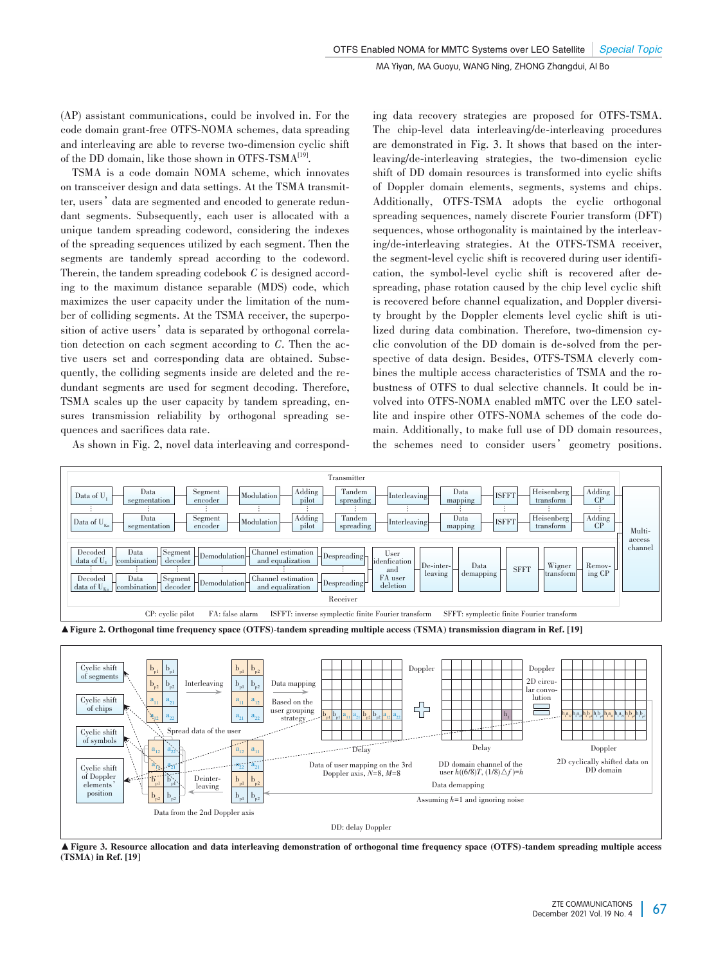(AP) assistant communications, could be involved in. For the code domain grant-free OTFS-NOMA schemes, data spreading and interleaving are able to reverse two-dimension cyclic shift of the DD domain, like those shown in OTFS-TSMA<sup>[19]</sup>.

TSMA is a code domain NOMA scheme, which innovates on transceiver design and data settings. At the TSMA transmitter, users' data are segmented and encoded to generate redundant segments. Subsequently, each user is allocated with a unique tandem spreading codeword, considering the indexes of the spreading sequences utilized by each segment. Then the segments are tandemly spread according to the codeword. Therein, the tandem spreading codebook *C* is designed accord ing to the maximum distance separable (MDS) code, which maximizes the user capacity under the limitation of the number of colliding segments. At the TSMA receiver, the superposition of active users' data is separated by orthogonal correlation detection on each segment according to *C*. Then the active users set and corresponding data are obtained. Subsequently, the colliding segments inside are deleted and the redundant segments are used for segment decoding. Therefore, TSMA scales up the user capacity by tandem spreading, ensures transmission reliability by orthogonal spreading sequences and sacrifices data rate.

As shown in Fig. 2, novel data interleaving and correspond-

Data from the 2nd Doppler axis

ing data recovery strategies are proposed for OTFS-TSMA. The chip-level data interleaving/de-interleaving procedures are demonstrated in Fig. 3. It shows that based on the interleaving/de-interleaving strategies, the two-dimension cyclic shift of DD domain resources is transformed into cyclic shifts of Doppler domain elements, segments, systems and chips. Additionally, OTFS-TSMA adopts the cyclic orthogonal spreading sequences, namely discrete Fourier transform (DFT) sequences, whose orthogonality is maintained by the interleaving/de-interleaving strategies. At the OTFS-TSMA receiver, the segment-level cyclic shift is recovered during user identification, the symbol-level cyclic shift is recovered after despreading, phase rotation caused by the chip level cyclic shift is recovered before channel equalization, and Doppler diversity brought by the Doppler elements level cyclic shift is utilized during data combination. Therefore, two-dimension cyclic convolution of the DD domain is de-solved from the perspective of data design. Besides, OTFS-TSMA cleverly combines the multiple access characteristics of TSMA and the robustness of OTFS to dual selective channels. It could be involved into OTFS-NOMA enabled mMTC over the LEO satellite and inspire other OTFS-NOMA schemes of the code domain. Additionally, to make full use of DD domain resources, the schemes need to consider users' geometry positions.



▲Figure 3. Resource allocation and data interleaving demonstration of orthogonal time frequency space (OTFS)-tandem spreading multiple access (TSMA) in Ref. [19]

DD: delay Doppler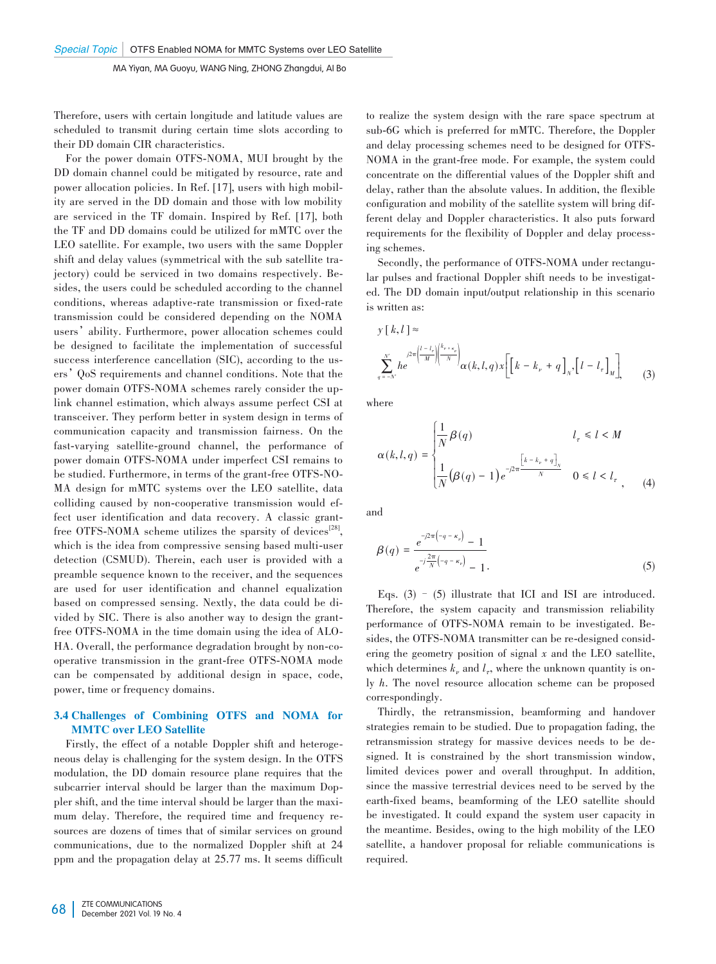Therefore, users with certain longitude and latitude values are scheduled to transmit during certain time slots according to their DD domain CIR characteristics.

For the power domain OTFS-NOMA, MUI brought by the DD domain channel could be mitigated by resource, rate and power allocation policies. In Ref. [17], users with high mobility are served in the DD domain and those with low mobility are serviced in the TF domain. Inspired by Ref. [17], both the TF and DD domains could be utilized for mMTC over the LEO satellite. For example, two users with the same Doppler shift and delay values (symmetrical with the sub satellite trajectory) could be serviced in two domains respectively. Besides, the users could be scheduled according to the channel conditions, whereas adaptive-rate transmission or fixed-rate transmission could be considered depending on the NOMA users'ability. Furthermore, power allocation schemes could be designed to facilitate the implementation of successful success interference cancellation (SIC), according to the users'QoS requirements and channel conditions. Note that the power domain OTFS-NOMA schemes rarely consider the uplink channel estimation, which always assume perfect CSI at transceiver. They perform better in system design in terms of communication capacity and transmission fairness. On the fast-varying satellite-ground channel, the performance of power domain OTFS-NOMA under imperfect CSI remains to be studied. Furthermore, in terms of the grant-free OTFS-NO-MA design for mMTC systems over the LEO satellite, data colliding caused by non-cooperative transmission would effect user identification and data recovery. A classic grantfree OTFS-NOMA scheme utilizes the sparsity of devices<sup>[28]</sup>, which is the idea from compressive sensing based multi-user detection (CSMUD). Therein, each user is provided with a preamble sequence known to the receiver, and the sequences are used for user identification and channel equalization based on compressed sensing. Nextly, the data could be divided by SIC. There is also another way to design the grantfree OTFS-NOMA in the time domain using the idea of ALO HA. Overall, the performance degradation brought by non-cooperative transmission in the grant-free OTFS-NOMA mode can be compensated by additional design in space, code, power, time or frequency domains.

#### 3.4 Challenges of Combining OTFS and NOMA for MMTC over LEO Satellite

Firstly, the effect of a notable Doppler shift and heterogeneous delay is challenging for the system design. In the OTFS modulation, the DD domain resource plane requires that the subcarrier interval should be larger than the maximum Doppler shift, and the time interval should be larger than the maximum delay. Therefore, the required time and frequency resources are dozens of times that of similar services on ground communications, due to the normalized Doppler shift at 24 ppm and the propagation delay at 25.77 ms. It seems difficult to realize the system design with the rare space spectrum at sub-6G which is preferred for mMTC. Therefore, the Doppler and delay processing schemes need to be designed for OTFS-NOMA in the grant-free mode. For example, the system could concentrate on the differential values of the Doppler shift and delay, rather than the absolute values. In addition, the flexible configuration and mobility of the satellite system will bring different delay and Doppler characteristics. It also puts forward requirements for the flexibility of Doppler and delay processing schemes.

Secondly, the performance of OTFS-NOMA under rectangular pulses and fractional Doppler shift needs to be investigated. The DD domain input/output relationship in this scenario is written as:

$$
y[k,l] \approx
$$
  

$$
\sum_{q=-N'}^{N'} he^{\frac{j2\pi\left(\frac{l-l_r}{M}\right)\left(\frac{k_{\nu+\kappa_{\nu}}}{N}\right)}} \alpha(k,l,q)x \left[\left[k-k_{\nu}+q\right]_{N}\left[l-l_{\tau}\right]_{M}\right],
$$
 (3)

where

$$
\alpha(k, l, q) = \begin{cases} \frac{1}{N} \beta(q) & l_{\tau} \le l < M \\ \frac{1}{N} (\beta(q) - 1) e^{-j2\pi \frac{\left[k - k_{\nu} + q\right]_N}{N}} & 0 \le l < l_{\tau}, \end{cases} \tag{4}
$$

and

$$
\beta(q) = \frac{e^{-j2\pi(-q - \kappa_r)} - 1}{e^{-j\frac{2\pi}{N}(-q - \kappa_r)} - 1}.
$$
\n(5)

Eqs.  $(3)$  –  $(5)$  illustrate that ICI and ISI are introduced. Therefore, the system capacity and transmission reliability performance of OTFS-NOMA remain to be investigated. Besides, the OTFS-NOMA transmitter can be re-designed considering the geometry position of signal *x* and the LEO satellite, which determines  $k_{\nu}$  and  $l_{\tau}$ , where the unknown quantity is only *h*. The novel resource allocation scheme can be proposed correspondingly.

Thirdly, the retransmission, beamforming and handover strategies remain to be studied. Due to propagation fading, the retransmission strategy for massive devices needs to be designed. It is constrained by the short transmission window, limited devices power and overall throughput. In addition, since the massive terrestrial devices need to be served by the earth-fixed beams, beamforming of the LEO satellite should be investigated. It could expand the system user capacity in the meantime. Besides, owing to the high mobility of the LEO satellite, a handover proposal for reliable communications is required.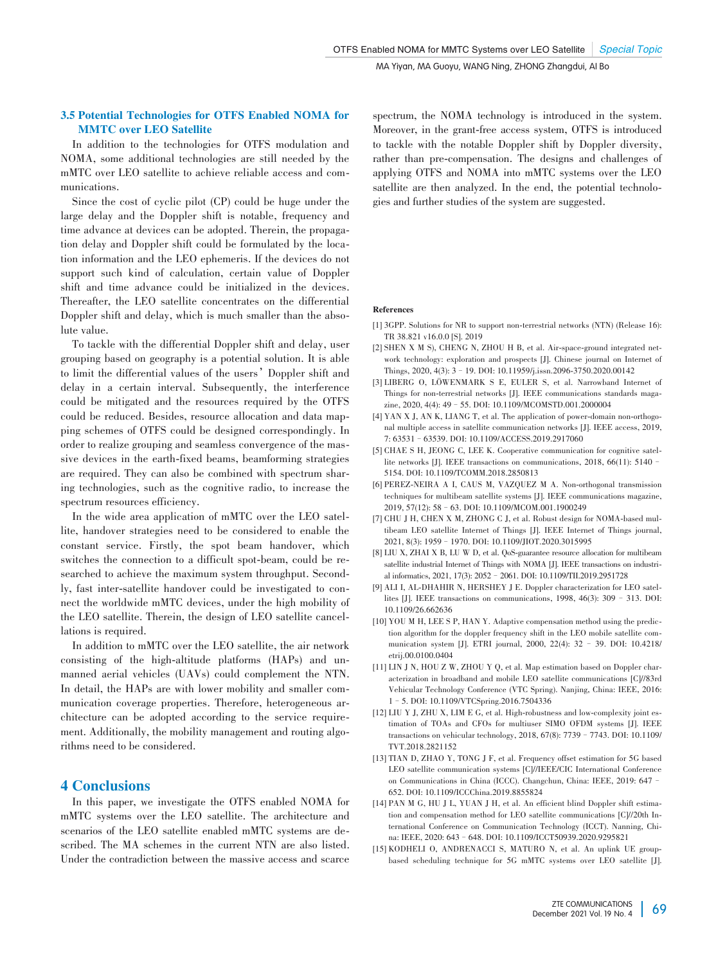## 3.5 Potential Technologies for OTFS Enabled NOMA for MMTC over LEO Satellite

In addition to the technologies for OTFS modulation and NOMA, some additional technologies are still needed by the mMTC over LEO satellite to achieve reliable access and communications.

Since the cost of cyclic pilot (CP) could be huge under the large delay and the Doppler shift is notable, frequency and time advance at devices can be adopted. Therein, the propagation delay and Doppler shift could be formulated by the location information and the LEO ephemeris. If the devices do not support such kind of calculation, certain value of Doppler shift and time advance could be initialized in the devices. Thereafter, the LEO satellite concentrates on the differential Doppler shift and delay, which is much smaller than the absolute value.

To tackle with the differential Doppler shift and delay, user grouping based on geography is a potential solution. It is able to limit the differential values of the users'Doppler shift and delay in a certain interval. Subsequently, the interference could be mitigated and the resources required by the OTFS could be reduced. Besides, resource allocation and data mapping schemes of OTFS could be designed correspondingly. In order to realize grouping and seamless convergence of the massive devices in the earth-fixed beams, beamforming strategies are required. They can also be combined with spectrum sharing technologies, such as the cognitive radio, to increase the spectrum resources efficiency.

In the wide area application of mMTC over the LEO satellite, handover strategies need to be considered to enable the constant service. Firstly, the spot beam handover, which switches the connection to a difficult spot-beam, could be researched to achieve the maximum system throughput. Secondly, fast inter-satellite handover could be investigated to connect the worldwide mMTC devices, under the high mobility of the LEO satellite. Therein, the design of LEO satellite cancel lations is required.

In addition to mMTC over the LEO satellite, the air network consisting of the high-altitude platforms (HAPs) and unmanned aerial vehicles (UAVs) could complement the NTN. In detail, the HAPs are with lower mobility and smaller communication coverage properties. Therefore, heterogeneous architecture can be adopted according to the service requirement. Additionally, the mobility management and routing algorithms need to be considered.

# 4 Conclusions

In this paper, we investigate the OTFS enabled NOMA for mMTC systems over the LEO satellite. The architecture and scenarios of the LEO satellite enabled mMTC systems are described. The MA schemes in the current NTN are also listed. Under the contradiction between the massive access and scarce spectrum, the NOMA technology is introduced in the system. Moreover, in the grant-free access system, OTFS is introduced to tackle with the notable Doppler shift by Doppler diversity, rather than pre-compensation. The designs and challenges of applying OTFS and NOMA into mMTC systems over the LEO satellite are then analyzed. In the end, the potential technologies and further studies of the system are suggested.

#### References

- [1] 3GPP. Solutions for NR to support non-terrestrial networks (NTN) (Release 16): TR 38.821 v16.0.0 [S]. 2019
- [2] SHEN X M S), CHENG N, ZHOU H B, et al. Air-space-ground integrated network technology: exploration and prospects [J]. Chinese journal on Internet of Things, 2020, 4(3): 3–19. DOI: 10.11959/j.issn.2096-3750.2020.00142
- [3] LIBERG O, LÖWENMARK S E, EULER S, et al. Narrowband Internet of Things for non-terrestrial networks [J]. IEEE communications standards magazine, 2020, 4(4): 49–55. DOI: 10.1109/MCOMSTD.001.2000004
- [4] YAN X J, AN K, LIANG T, et al. The application of power-domain non-orthogonal multiple access in satellite communication networks [J]. IEEE access, 2019, 7: 63531–63539. DOI: 10.1109/ACCESS.2019.2917060
- [5] CHAE S H, JEONG C, LEE K. Cooperative communication for cognitive satel lite networks [J]. IEEE transactions on communications, 2018, 66(11): 5140– 5154. DOI: 10.1109/TCOMM.2018.2850813
- [6] PEREZ-NEIRA A I, CAUS M, VAZQUEZ M A. Non-orthogonal transmission techniques for multibeam satellite systems [J]. IEEE communications magazine, 2019, 57(12): 58–63. DOI: 10.1109/MCOM.001.1900249
- [7] CHU J H, CHEN X M, ZHONG C L et al. Robust design for NOMA-based multibeam LEO satellite Internet of Things [J]. IEEE Internet of Things journal, 2021, 8(3): 1959–1970. DOI: 10.1109/JIOT.2020.3015995
- [8] LIU X, ZHAI X B, LU W D, et al. QoS-guarantee resource allocation for multibeam satellite industrial Internet of Things with NOMA [J]. IEEE transactions on industrial informatics, 2021, 17(3): 2052–2061. DOI: 10.1109/TII.2019.2951728
- [9] ALI I, AL-DHAHIR N, HERSHEY J E. Doppler characterization for LEO satellites [J]. IEEE transactions on communications, 1998, 46(3): 309–313. DOI: 10.1109/26.662636
- [10] YOU M H, LEE S P, HAN Y. Adaptive compensation method using the prediction algorithm for the doppler frequency shift in the LEO mobile satellite communication system [J]. ETRI journal, 2000, 22(4): 32 – 39. DOI: 10.4218/ etrij.00.0100.0404
- [11] LIN J N, HOU Z W, ZHOU Y Q, et al. Map estimation based on Doppler characterization in broadband and mobile LEO satellite communications [C]//83rd Vehicular Technology Conference (VTC Spring). Nanjing, China: IEEE, 2016: 1–5. DOI: 10.1109/VTCSpring.2016.7504336
- [12] LIU Y J, ZHU X, LIM E G, et al. High-robustness and low-complexity joint estimation of TOAs and CFOs for multiuser SIMO OFDM systems [J]. IEEE transactions on vehicular technology, 2018, 67(8): 7739–7743. DOI: 10.1109/ TVT.2018.2821152
- [13] TIAN D, ZHAO Y, TONG J F, et al. Frequency offset estimation for 5G based LEO satellite communication systems [C]//IEEE/CIC International Conference on Communications in China (ICCC). Changchun, China: IEEE, 2019: 647– 652. DOI: 10.1109/ICCChina.2019.8855824
- [14] PAN M G, HU J L, YUAN J H, et al. An efficient blind Doppler shift estimation and compensation method for LEO satellite communications [C]//20th International Conference on Communication Technology (ICCT). Nanning, China: IEEE, 2020: 643–648. DOI: 10.1109/ICCT50939.2020.9295821
- [15] KODHELI O, ANDRENACCI S, MATURO N, et al. An uplink UE groupbased scheduling technique for 5G mMTC systems over LEO satellite [J].